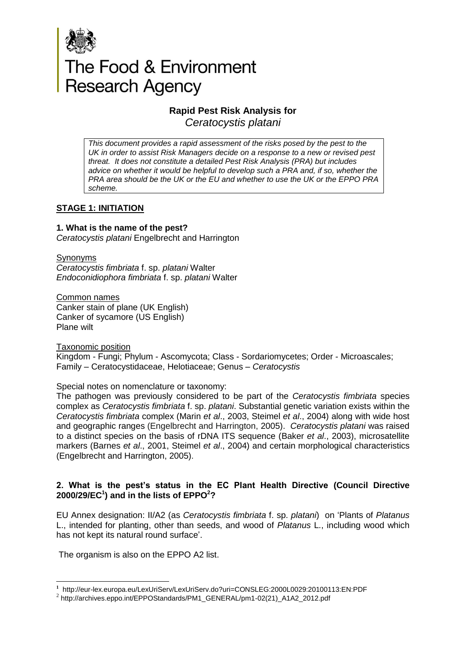

# The Food & Environment<br>Research Agency

# **Rapid Pest Risk Analysis for**

*Ceratocystis platani*

*This document provides a rapid assessment of the risks posed by the pest to the UK in order to assist Risk Managers decide on a response to a new or revised pest threat. It does not constitute a detailed Pest Risk Analysis (PRA) but includes advice on whether it would be helpful to develop such a PRA and, if so, whether the PRA area should be the UK or the EU and whether to use the UK or the EPPO PRA scheme.* 

# **STAGE 1: INITIATION**

#### **1. What is the name of the pest?**

*Ceratocystis platani* Engelbrecht and Harrington

Synonyms

*Ceratocystis fimbriata* f. sp. *platani* Walter *Endoconidiophora fimbriata* f. sp. *platani* Walter

Common names Canker stain of plane (UK English) Canker of sycamore (US English) Plane wilt

Taxonomic position

Kingdom - Fungi; Phylum - Ascomycota; Class - Sordariomycetes; Order - Microascales; Family – Ceratocystidaceae, Helotiaceae; Genus – *Ceratocystis*

Special notes on nomenclature or taxonomy:

The pathogen was previously considered to be part of the *Ceratocystis fimbriata* species complex as *Ceratocystis fimbriata* f. sp. *platani*. Substantial genetic variation exists within the *Ceratocystis fimbriata* complex (Marin *et al*., 2003, Steimel *et al*., 2004) along with wide host and geographic ranges (Engelbrecht and Harrington, 2005). *Ceratocystis platani* was raised to a distinct species on the basis of rDNA ITS sequence (Baker *et al*., 2003), microsatellite markers (Barnes *et al*., 2001, Steimel *et al*., 2004) and certain morphological characteristics (Engelbrecht and Harrington, 2005).

# **2. What is the pest's status in the EC Plant Health Directive (Council Directive 2000/29/EC<sup>1</sup> ) and in the lists of EPPO<sup>2</sup>?**

EU Annex designation: II/A2 (as *Ceratocystis fimbriata* f. sp. *platani*) on 'Plants of *Platanus* L., intended for planting, other than seeds, and wood of *Platanus* L., including wood which has not kept its natural round surface'.

The organism is also on the EPPO A2 list.

**<sup>.</sup> 1** http://eur-lex.europa.eu/LexUriServ/LexUriServ.do?uri=CONSLEG:2000L0029:20100113:EN:PDF

 $^2$  http://archives.eppo.int/EPPOStandards/PM1\_GENERAL/pm1-02(21)\_A1A2\_2012.pdf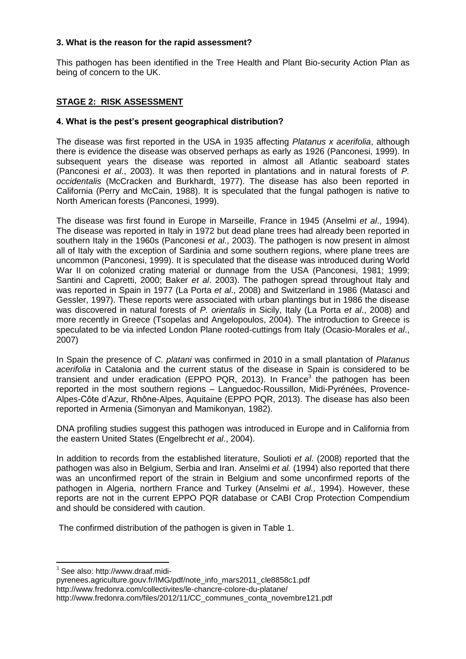#### **3. What is the reason for the rapid assessment?**

This pathogen has been identified in the Tree Health and Plant Bio-security Action Plan as being of concern to the UK.

# **STAGE 2: RISK ASSESSMENT**

#### **4. What is the pest's present geographical distribution?**

The disease was first reported in the USA in 1935 affecting *Platanus x acerifolia*, although there is evidence the disease was observed perhaps as early as 1926 (Panconesi, 1999). In subsequent years the disease was reported in almost all Atlantic seaboard states (Panconesi *et al*., 2003). It was then reported in plantations and in natural forests of *P. occidentalis* (McCracken and Burkhardt, 1977). The disease has also been reported in California (Perry and McCain, 1988). It is speculated that the fungal pathogen is native to North American forests (Panconesi, 1999).

The disease was first found in Europe in Marseille, France in 1945 (Anselmi *et al*., 1994). The disease was reported in Italy in 1972 but dead plane trees had already been reported in southern Italy in the 1960s (Panconesi *et al*., 2003). The pathogen is now present in almost all of Italy with the exception of Sardinia and some southern regions, where plane trees are uncommon (Panconesi, 1999). It is speculated that the disease was introduced during World War II on colonized crating material or dunnage from the USA (Panconesi, 1981; 1999; Santini and Capretti, 2000; Baker *et al*. 2003). The pathogen spread throughout Italy and was reported in Spain in 1977 (La Porta *et al*., 2008) and Switzerland in 1986 (Matasci and Gessler, 1997). These reports were associated with urban plantings but in 1986 the disease was discovered in natural forests of *P. orientalis* in Sicily, Italy (La Porta *et al*., 2008) and more recently in Greece (Tsopelas and Angelopoulos, 2004). The introduction to Greece is speculated to be via infected London Plane rooted-cuttings from Italy (Ocasio-Morales *et al*., 2007)

In Spain the presence of *C. platani* was confirmed in 2010 in a small plantation of *Platanus acerifolia* in Catalonia and the current status of the disease in Spain is considered to be transient and under eradication (EPPO PQR, 2013). In France<sup>3</sup> the pathogen has been reported in the most southern regions – Languedoc-Roussillon, Midi-Pyrénées, Provence-Alpes-Côte d'Azur, Rhône-Alpes, Aquitaine (EPPO PQR, 2013). The disease has also been reported in Armenia (Simonyan and Mamikonyan, 1982).

DNA profiling studies suggest this pathogen was introduced in Europe and in California from the eastern United States (Engelbrecht *et al*., 2004).

In addition to records from the established literature, Soulioti *et al*. (2008) reported that the pathogen was also in Belgium, Serbia and Iran. Anselmi *et al.* (1994) also reported that there was an unconfirmed report of the strain in Belgium and some unconfirmed reports of the pathogen in Algeria, northern France and Turkey (Anselmi *et al.,* 1994). However, these reports are not in the current EPPO PQR database or CABI Crop Protection Compendium and should be considered with caution.

The confirmed distribution of the pathogen is given in Table 1.

 $\overline{\phantom{a}}$ 

[pyrenees.agriculture.gouv.fr/IMG/pdf/note\\_info\\_mars2011\\_cle8858c1.pdf](http://www.draaf.midi-pyrenees.agriculture.gouv.fr/IMG/pdf/note_info_mars2011_cle8858c1.pdf) <http://www.fredonra.com/collectivites/le-chancre-colore-du-platane/> [http://www.fredonra.com/files/2012/11/CC\\_communes\\_conta\\_novembre121.pdf](http://www.fredonra.com/files/2012/11/CC_communes_conta_novembre121.pdf)

 $3$  See also: [http://www.draaf.midi-](http://www.draaf.midi-pyrenees.agriculture.gouv.fr/IMG/pdf/note_info_mars2011_cle8858c1.pdf)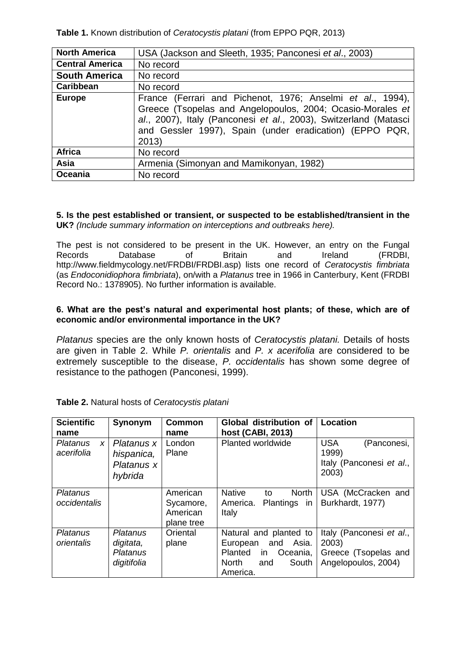**Table 1.** Known distribution of *Ceratocystis platani* (from EPPO PQR, 2013)

| <b>North America</b>   | USA (Jackson and Sleeth, 1935; Panconesi et al., 2003)                                                                                                                                                                                                           |  |  |  |
|------------------------|------------------------------------------------------------------------------------------------------------------------------------------------------------------------------------------------------------------------------------------------------------------|--|--|--|
| <b>Central America</b> | No record                                                                                                                                                                                                                                                        |  |  |  |
| <b>South America</b>   | No record                                                                                                                                                                                                                                                        |  |  |  |
| Caribbean              | No record                                                                                                                                                                                                                                                        |  |  |  |
| <b>Europe</b>          | France (Ferrari and Pichenot, 1976; Anselmi et al., 1994),<br>Greece (Tsopelas and Angelopoulos, 2004; Ocasio-Morales et<br>al., 2007), Italy (Panconesi et al., 2003), Switzerland (Matasci<br>and Gessler 1997), Spain (under eradication) (EPPO PQR,<br>2013) |  |  |  |
| <b>Africa</b>          | No record                                                                                                                                                                                                                                                        |  |  |  |
| Asia                   | Armenia (Simonyan and Mamikonyan, 1982)                                                                                                                                                                                                                          |  |  |  |
| Oceania                | No record                                                                                                                                                                                                                                                        |  |  |  |

#### **5. Is the pest established or transient, or suspected to be established/transient in the UK?** *(Include summary information on interceptions and outbreaks here).*

The pest is not considered to be present in the UK. However, an entry on the Fungal Records Database of Britain and Ireland (FRDBI, http://www.fieldmycology.net/FRDBI/FRDBI.asp) lists one record of *Ceratocystis fimbriata* (as *Endoconidiophora fimbriata*), on/with a *Platanus* tree in 1966 in Canterbury, Kent (FRDBI Record No.: 1378905). No further information is available.

# **6. What are the pest's natural and experimental host plants; of these, which are of economic and/or environmental importance in the UK?**

*Platanus* species are the only known hosts of *Ceratocystis platani.* Details of hosts are given in Table 2. While *P. orientalis* and *P. x acerifolia* are considered to be extremely susceptible to the disease, *P. occidentalis* has shown some degree of resistance to the pathogen (Panconesi, 1999).

| <b>Scientific</b><br>name                         | Synonym                                           | <b>Common</b><br>name                           | Global distribution of<br>host (CABI, 2013)                                                                                         | <b>Location</b>                                                                  |
|---------------------------------------------------|---------------------------------------------------|-------------------------------------------------|-------------------------------------------------------------------------------------------------------------------------------------|----------------------------------------------------------------------------------|
| <b>Platanus</b><br>$\boldsymbol{x}$<br>acerifolia | Platanus x<br>hispanica,<br>Platanus x<br>hybrida | London<br>Plane                                 | Planted worldwide                                                                                                                   | <b>USA</b><br>(Panconesi,<br>1999)<br>Italy (Panconesi et al.,<br>2003)          |
| Platanus<br>occidentalis                          |                                                   | American<br>Sycamore,<br>American<br>plane tree | <b>Native</b><br><b>North</b><br>to<br>America.<br>Plantings<br><i>in</i><br>Italy                                                  | USA (McCracken and<br>Burkhardt, 1977)                                           |
| <b>Platanus</b><br>orientalis                     | Platanus<br>digitata,<br>Platanus<br>digitifolia  | Oriental<br>plane                               | Natural and planted to<br>Asia.<br>and<br>European<br><b>Planted</b><br>Oceania,<br>in.<br><b>North</b><br>South<br>and<br>America. | Italy (Panconesi et al.,<br>2003)<br>Greece (Tsopelas and<br>Angelopoulos, 2004) |

| Table 2. Natural hosts of Ceratocystis platani |
|------------------------------------------------|
|------------------------------------------------|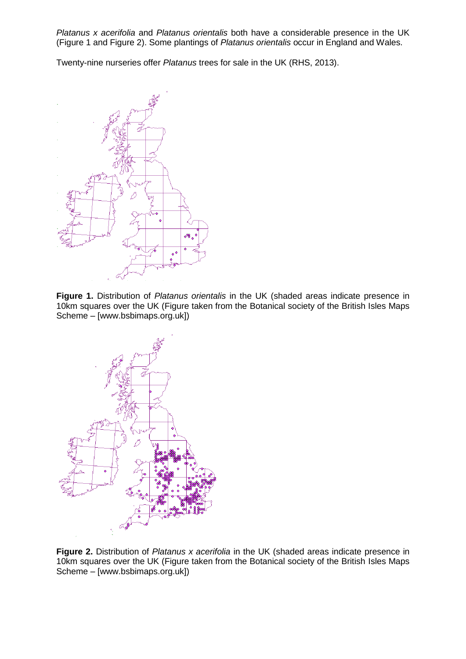*Platanus x acerifolia* and *Platanus orientalis* both have a considerable presence in the UK (Figure 1 and Figure 2). Some plantings of *Platanus orientalis* occur in England and Wales.

Twenty-nine nurseries offer *Platanus* trees for sale in the UK (RHS, 2013).



**Figure 1.** Distribution of *Platanus orientalis* in the UK (shaded areas indicate presence in 10km squares over the UK (Figure taken from the Botanical society of the British Isles Maps Scheme – [www.bsbimaps.org.uk])



**Figure 2.** Distribution of *Platanus x acerifolia* in the UK (shaded areas indicate presence in 10km squares over the UK (Figure taken from the Botanical society of the British Isles Maps Scheme – [www.bsbimaps.org.uk])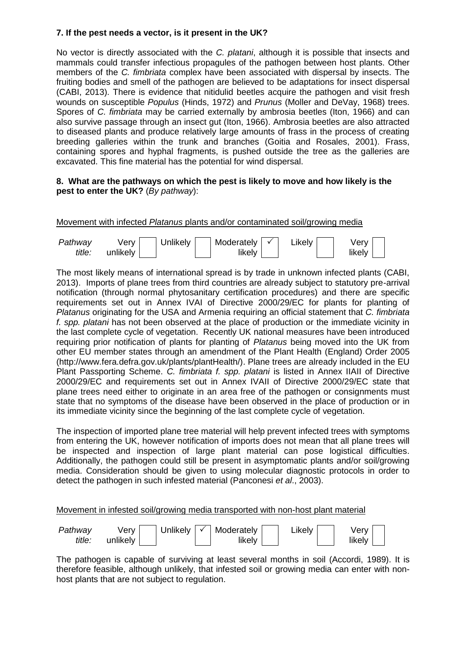# **7. If the pest needs a vector, is it present in the UK?**

No vector is directly associated with the *C. platani*, although it is possible that insects and mammals could transfer infectious propagules of the pathogen between host plants. Other members of the *C. fimbriata* complex have been associated with dispersal by insects. The fruiting bodies and smell of the pathogen are believed to be adaptations for insect dispersal (CABI, 2013). There is evidence that nitidulid beetles acquire the pathogen and visit fresh wounds on susceptible *Populus* (Hinds, 1972) and *Prunus* (Moller and DeVay, 1968) trees. Spores of *C. fimbriata* may be carried externally by ambrosia beetles (Iton, 1966) and can also survive passage through an insect gut (Iton, 1966). Ambrosia beetles are also attracted to diseased plants and produce relatively large amounts of frass in the process of creating breeding galleries within the trunk and branches (Goitia and Rosales, 2001). Frass, containing spores and hyphal fragments, is pushed outside the tree as the galleries are excavated. This fine material has the potential for wind dispersal.

#### **8. What are the pathways on which the pest is likely to move and how likely is the pest to enter the UK?** (*By pathway*):

Movement with infected *Platanus* plants and/or contaminated soil/growing media

| Pathway | Verv     | <b>Unlikely</b> | Moderately $\vert \checkmark$ | Likely | verv   |
|---------|----------|-----------------|-------------------------------|--------|--------|
| title:  | unlikely |                 | likelv                        |        | likely |

The most likely means of international spread is by trade in unknown infected plants (CABI, 2013). Imports of plane trees from third countries are already subject to statutory pre-arrival notification (through normal phytosanitary certification procedures) and there are specific requirements set out in Annex IVAI of Directive 2000/29/EC for plants for planting of *Platanus* originating for the USA and Armenia requiring an official statement that *C. fimbriata f. spp. platani* has not been observed at the place of production or the immediate vicinity in the last complete cycle of vegetation. Recently UK national measures have been introduced requiring prior notification of plants for planting of *Platanus* being moved into the UK from other EU member states through an amendment of the Plant Health (England) Order 2005 (http://www.fera.defra.gov.uk/plants/plantHealth/). Plane trees are already included in the EU Plant Passporting Scheme. *C. fimbriata f. spp. platani* is listed in Annex IIAII of Directive 2000/29/EC and requirements set out in Annex IVAII of Directive 2000/29/EC state that plane trees need either to originate in an area free of the pathogen or consignments must state that no symptoms of the disease have been observed in the place of production or in its immediate vicinity since the beginning of the last complete cycle of vegetation.

The inspection of imported plane tree material will help prevent infected trees with symptoms from entering the UK, however notification of imports does not mean that all plane trees will be inspected and inspection of large plant material can pose logistical difficulties. Additionally, the pathogen could still be present in asymptomatic plants and/or soil/growing media. Consideration should be given to using molecular diagnostic protocols in order to detect the pathogen in such infested material (Panconesi *et al*., 2003).

#### Movement in infested soil/growing media transported with non-host plant material



The pathogen is capable of surviving at least several months in soil (Accordi, 1989). It is therefore feasible, although unlikely, that infested soil or growing media can enter with nonhost plants that are not subject to regulation.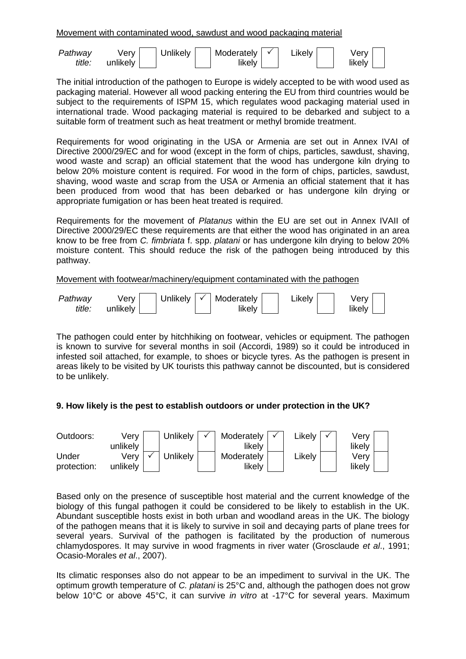Movement with contaminated wood, sawdust and wood packaging material

| Pathway       | Verv             | Unlikely | Moderately $\vert \checkmark$ | Likely | Verv   |
|---------------|------------------|----------|-------------------------------|--------|--------|
| <i>title:</i> | unlikely $\vert$ |          | likelv                        |        | likely |

The initial introduction of the pathogen to Europe is widely accepted to be with wood used as packaging material. However all wood packing entering the EU from third countries would be subject to the requirements of ISPM 15, which regulates wood packaging material used in international trade. Wood packaging material is required to be debarked and subject to a suitable form of treatment such as heat treatment or methyl bromide treatment.

Requirements for wood originating in the USA or Armenia are set out in Annex IVAI of Directive 2000/29/EC and for wood (except in the form of chips, particles, sawdust, shaving, wood waste and scrap) an official statement that the wood has undergone kiln drying to below 20% moisture content is required. For wood in the form of chips, particles, sawdust, shaving, wood waste and scrap from the USA or Armenia an official statement that it has been produced from wood that has been debarked or has undergone kiln drying or appropriate fumigation or has been heat treated is required.

Requirements for the movement of *Platanus* within the EU are set out in Annex IVAII of Directive 2000/29/EC these requirements are that either the wood has originated in an area know to be free from *C. fimbriata* f. spp. *platani* or has undergone kiln drying to below 20% moisture content. This should reduce the risk of the pathogen being introduced by this pathway.

#### Movement with footwear/machinery/equipment contaminated with the pathogen



The pathogen could enter by hitchhiking on footwear, vehicles or equipment. The pathogen is known to survive for several months in soil (Accordi, 1989) so it could be introduced in infested soil attached, for example, to shoes or bicycle tyres. As the pathogen is present in areas likely to be visited by UK tourists this pathway cannot be discounted, but is considered to be unlikely.

# **9. How likely is the pest to establish outdoors or under protection in the UK?**



Based only on the presence of susceptible host material and the current knowledge of the biology of this fungal pathogen it could be considered to be likely to establish in the UK. Abundant susceptible hosts exist in both urban and woodland areas in the UK. The biology of the pathogen means that it is likely to survive in soil and decaying parts of plane trees for several years. Survival of the pathogen is facilitated by the production of numerous chlamydospores. It may survive in wood fragments in river water (Grosclaude *et al*., 1991; Ocasio-Morales *et al*., 2007).

Its climatic responses also do not appear to be an impediment to survival in the UK. The optimum growth temperature of *C. platani* is 25°C and, although the pathogen does not grow below 10°C or above 45°C, it can survive *in vitro* at -17°C for several years. Maximum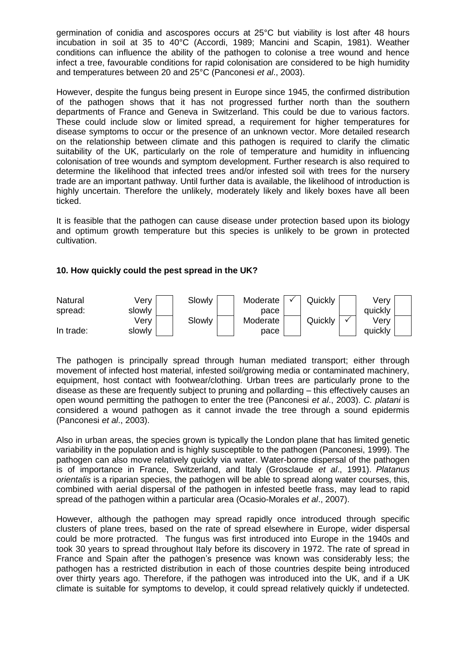germination of conidia and ascospores occurs at 25°C but viability is lost after 48 hours incubation in soil at 35 to 40°C (Accordi, 1989; Mancini and Scapin, 1981). Weather conditions can influence the ability of the pathogen to colonise a tree wound and hence infect a tree, favourable conditions for rapid colonisation are considered to be high humidity and temperatures between 20 and 25°C (Panconesi *et al*., 2003).

However, despite the fungus being present in Europe since 1945, the confirmed distribution of the pathogen shows that it has not progressed further north than the southern departments of France and Geneva in Switzerland. This could be due to various factors. These could include slow or limited spread, a requirement for higher temperatures for disease symptoms to occur or the presence of an unknown vector. More detailed research on the relationship between climate and this pathogen is required to clarify the climatic suitability of the UK, particularly on the role of temperature and humidity in influencing colonisation of tree wounds and symptom development. Further research is also required to determine the likelihood that infected trees and/or infested soil with trees for the nursery trade are an important pathway. Until further data is available, the likelihood of introduction is highly uncertain. Therefore the unlikely, moderately likely and likely boxes have all been ticked.

It is feasible that the pathogen can cause disease under protection based upon its biology and optimum growth temperature but this species is unlikely to be grown in protected cultivation.

#### **10. How quickly could the pest spread in the UK?**



The pathogen is principally spread through human mediated transport; either through movement of infected host material, infested soil/growing media or contaminated machinery, equipment, host contact with footwear/clothing. Urban trees are particularly prone to the disease as these are frequently subject to pruning and pollarding – this effectively causes an open wound permitting the pathogen to enter the tree (Panconesi *et al*., 2003). *C. platani* is considered a wound pathogen as it cannot invade the tree through a sound epidermis (Panconesi *et al*., 2003).

Also in urban areas, the species grown is typically the London plane that has limited genetic variability in the population and is highly susceptible to the pathogen (Panconesi, 1999). The pathogen can also move relatively quickly via water. Water-borne dispersal of the pathogen is of importance in France, Switzerland, and Italy (Grosclaude *et al*., 1991). *Platanus orientalis* is a riparian species, the pathogen will be able to spread along water courses, this, combined with aerial dispersal of the pathogen in infested beetle frass, may lead to rapid spread of the pathogen within a particular area (Ocasio-Morales *et al*., 2007).

However, although the pathogen may spread rapidly once introduced through specific clusters of plane trees, based on the rate of spread elsewhere in Europe, wider dispersal could be more protracted. The fungus was first introduced into Europe in the 1940s and took 30 years to spread throughout Italy before its discovery in 1972. The rate of spread in France and Spain after the pathogen's presence was known was considerably less; the pathogen has a restricted distribution in each of those countries despite being introduced over thirty years ago. Therefore, if the pathogen was introduced into the UK, and if a UK climate is suitable for symptoms to develop, it could spread relatively quickly if undetected.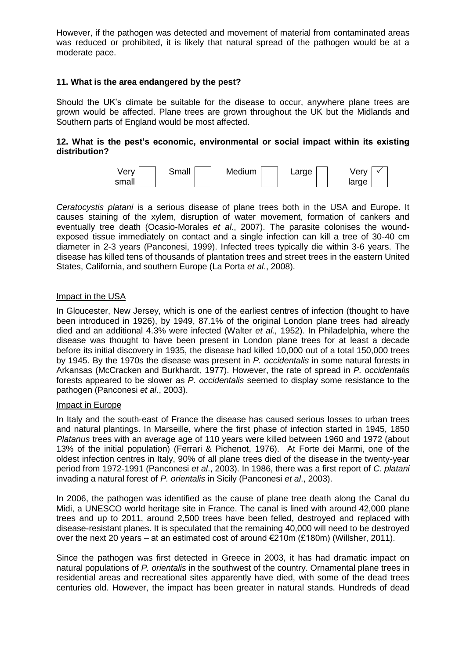However, if the pathogen was detected and movement of material from contaminated areas was reduced or prohibited, it is likely that natural spread of the pathogen would be at a moderate pace.

#### **11. What is the area endangered by the pest?**

Should the UK's climate be suitable for the disease to occur, anywhere plane trees are grown would be affected. Plane trees are grown throughout the UK but the Midlands and Southern parts of England would be most affected.

#### **12. What is the pest's economic, environmental or social impact within its existing distribution?**



*Ceratocystis platani* is a serious disease of plane trees both in the USA and Europe. It causes staining of the xylem, disruption of water movement, formation of cankers and eventually tree death (Ocasio-Morales *et al*., 2007). The parasite colonises the woundexposed tissue immediately on contact and a single infection can kill a tree of 30-40 cm diameter in 2-3 years (Panconesi, 1999). Infected trees typically die within 3-6 years. The disease has killed tens of thousands of plantation trees and street trees in the eastern United States, California, and southern Europe (La Porta *et al*., 2008).

#### Impact in the USA

In Gloucester, New Jersey, which is one of the earliest centres of infection (thought to have been introduced in 1926), by 1949, 87.1% of the original London plane trees had already died and an additional 4.3% were infected (Walter *et al.,* 1952). In Philadelphia, where the disease was thought to have been present in London plane trees for at least a decade before its initial discovery in 1935, the disease had killed 10,000 out of a total 150,000 trees by 1945. By the 1970s the disease was present in *P. occidentalis* in some natural forests in Arkansas (McCracken and Burkhardt*,* 1977). However, the rate of spread in *P. occidentalis* forests appeared to be slower as *P. occidentalis* seemed to display some resistance to the pathogen (Panconesi *et al*., 2003).

#### Impact in Europe

In Italy and the south-east of France the disease has caused serious losses to urban trees and natural plantings. In Marseille, where the first phase of infection started in 1945, 1850 *Platanus* trees with an average age of 110 years were killed between 1960 and 1972 (about 13% of the initial population) (Ferrari & Pichenot, 1976). At Forte dei Marmi, one of the oldest infection centres in Italy, 90% of all plane trees died of the disease in the twenty-year period from 1972-1991 (Panconesi *et al*., 2003). In 1986, there was a first report of *C. platani*  invading a natural forest of *P. orientalis* in Sicily (Panconesi *et al*., 2003).

In 2006, the pathogen was identified as the cause of plane tree death along the Canal du Midi, a UNESCO world heritage site in France. The canal is lined with around 42,000 plane trees and up to 2011, around 2,500 trees have been felled, destroyed and replaced with disease-resistant planes. It is speculated that the remaining 40,000 will need to be destroyed over the next 20 years – at an estimated cost of around  $\epsilon$ 210m (£180m) (Willsher, 2011).

Since the pathogen was first detected in Greece in 2003, it has had dramatic impact on natural populations of *P. orientalis* in the southwest of the country. Ornamental plane trees in residential areas and recreational sites apparently have died, with some of the dead trees centuries old. However, the impact has been greater in natural stands. Hundreds of dead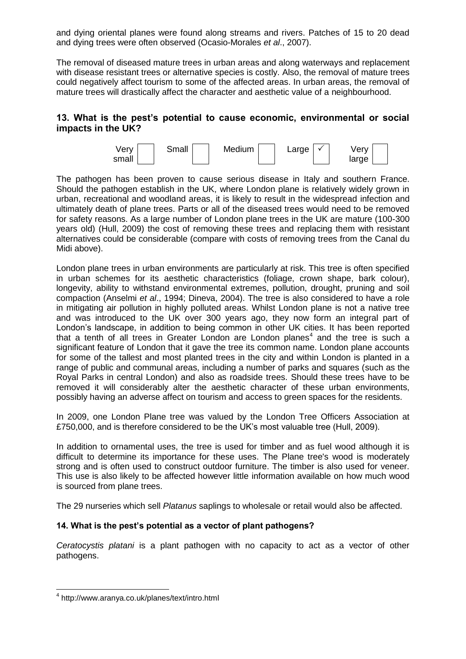and dying oriental planes were found along streams and rivers. Patches of 15 to 20 dead and dying trees were often observed (Ocasio-Morales *et al*., 2007).

The removal of diseased mature trees in urban areas and along waterways and replacement with disease resistant trees or alternative species is costly. Also, the removal of mature trees could negatively affect tourism to some of the affected areas. In urban areas, the removal of mature trees will drastically affect the character and aesthetic value of a neighbourhood.

# **13. What is the pest's potential to cause economic, environmental or social impacts in the UK?**



The pathogen has been proven to cause serious disease in Italy and southern France. Should the pathogen establish in the UK, where London plane is relatively widely grown in urban, recreational and woodland areas, it is likely to result in the widespread infection and ultimately death of plane trees. Parts or all of the diseased trees would need to be removed for safety reasons. As a large number of London plane trees in the UK are mature (100-300 years old) (Hull, 2009) the cost of removing these trees and replacing them with resistant alternatives could be considerable (compare with costs of removing trees from the Canal du Midi above).

London plane trees in urban environments are particularly at risk. This tree is often specified in urban schemes for its aesthetic characteristics (foliage, crown shape, bark colour), longevity, ability to withstand environmental extremes, pollution, drought, pruning and soil compaction (Anselmi *et al*., 1994; Dineva, 2004). The tree is also considered to have a role in mitigating air pollution in highly polluted areas. Whilst London plane is not a native tree and was introduced to the UK over 300 years ago, they now form an integral part of London's landscape, in addition to being common in other UK cities. It has been reported that a tenth of all trees in Greater London are London planes<sup>4</sup> and the tree is such a significant feature of London that it gave the tree its common name. London plane accounts for some of the tallest and most planted trees in the city and within London is planted in a range of public and communal areas, including a number of parks and squares (such as the Royal Parks in central London) and also as roadside trees. Should these trees have to be removed it will considerably alter the aesthetic character of these urban environments, possibly having an adverse affect on tourism and access to green spaces for the residents.

In 2009, one London Plane tree was valued by the London Tree Officers Association at £750,000, and is therefore considered to be the UK's most valuable tree (Hull, 2009).

In addition to ornamental uses, the tree is used for timber and as fuel wood although it is difficult to determine its importance for these uses. The Plane tree's wood is moderately strong and is often used to construct outdoor furniture. The timber is also used for veneer. This use is also likely to be affected however little information available on how much wood is sourced from plane trees.

The 29 nurseries which sell *Platanus* saplings to wholesale or retail would also be affected.

#### **14. What is the pest's potential as a vector of plant pathogens?**

*Ceratocystis platani* is a plant pathogen with no capacity to act as a vector of other pathogens.

 4 http://www.aranya.co.uk/planes/text/intro.html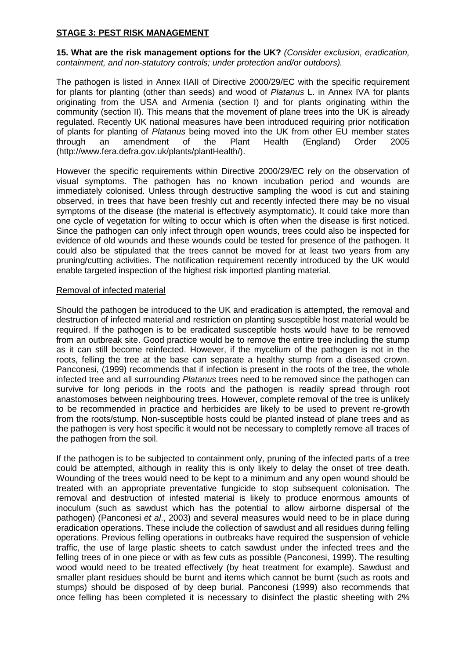# **STAGE 3: PEST RISK MANAGEMENT**

**15. What are the risk management options for the UK?** *(Consider exclusion, eradication, containment, and non-statutory controls; under protection and/or outdoors).*

The pathogen is listed in Annex IIAII of Directive 2000/29/EC with the specific requirement for plants for planting (other than seeds) and wood of *Platanus* L. in Annex IVA for plants originating from the USA and Armenia (section I) and for plants originating within the community (section II). This means that the movement of plane trees into the UK is already regulated. Recently UK national measures have been introduced requiring prior notification of plants for planting of *Platanus* being moved into the UK from other EU member states through an amendment of the Plant Health (England) Order 2005 (http://www.fera.defra.gov.uk/plants/plantHealth/).

However the specific requirements within Directive 2000/29/EC rely on the observation of visual symptoms. The pathogen has no known incubation period and wounds are immediately colonised. Unless through destructive sampling the wood is cut and staining observed, in trees that have been freshly cut and recently infected there may be no visual symptoms of the disease (the material is effectively asymptomatic). It could take more than one cycle of vegetation for wilting to occur which is often when the disease is first noticed. Since the pathogen can only infect through open wounds, trees could also be inspected for evidence of old wounds and these wounds could be tested for presence of the pathogen. It could also be stipulated that the trees cannot be moved for at least two years from any pruning/cutting activities. The notification requirement recently introduced by the UK would enable targeted inspection of the highest risk imported planting material.

#### Removal of infected material

Should the pathogen be introduced to the UK and eradication is attempted, the removal and destruction of infected material and restriction on planting susceptible host material would be required. If the pathogen is to be eradicated susceptible hosts would have to be removed from an outbreak site. Good practice would be to remove the entire tree including the stump as it can still become reinfected. However, if the mycelium of the pathogen is not in the roots, felling the tree at the base can separate a healthy stump from a diseased crown. Panconesi, (1999) recommends that if infection is present in the roots of the tree, the whole infected tree and all surrounding *Platanus* trees need to be removed since the pathogen can survive for long periods in the roots and the pathogen is readily spread through root anastomoses between neighbouring trees. However, complete removal of the tree is unlikely to be recommended in practice and herbicides are likely to be used to prevent re-growth from the roots/stump. Non-susceptible hosts could be planted instead of plane trees and as the pathogen is very host specific it would not be necessary to completly remove all traces of the pathogen from the soil.

If the pathogen is to be subjected to containment only, pruning of the infected parts of a tree could be attempted, although in reality this is only likely to delay the onset of tree death. Wounding of the trees would need to be kept to a minimum and any open wound should be treated with an appropriate preventative fungicide to stop subsequent colonisation. The removal and destruction of infested material is likely to produce enormous amounts of inoculum (such as sawdust which has the potential to allow airborne dispersal of the pathogen) (Panconesi *et al*., 2003) and several measures would need to be in place during eradication operations. These include the collection of sawdust and all residues during felling operations. Previous felling operations in outbreaks have required the suspension of vehicle traffic, the use of large plastic sheets to catch sawdust under the infected trees and the felling trees of in one piece or with as few cuts as possible (Panconesi, 1999). The resulting wood would need to be treated effectively (by heat treatment for example). Sawdust and smaller plant residues should be burnt and items which cannot be burnt (such as roots and stumps) should be disposed of by deep burial. Panconesi (1999) also recommends that once felling has been completed it is necessary to disinfect the plastic sheeting with 2%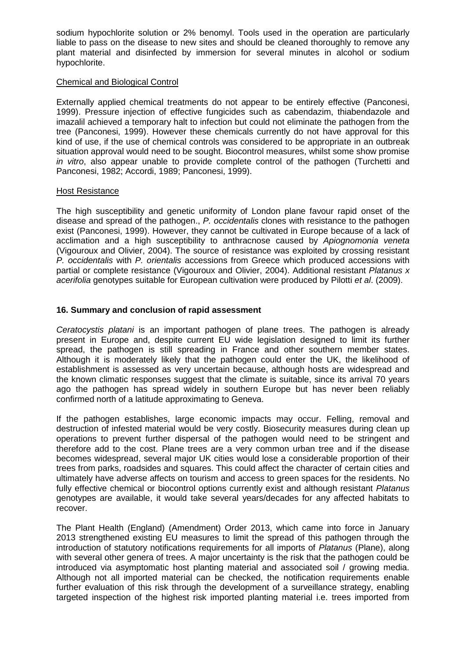sodium hypochlorite solution or 2% benomyl. Tools used in the operation are particularly liable to pass on the disease to new sites and should be cleaned thoroughly to remove any plant material and disinfected by immersion for several minutes in alcohol or sodium hypochlorite.

#### Chemical and Biological Control

Externally applied chemical treatments do not appear to be entirely effective (Panconesi, 1999). Pressure injection of effective fungicides such as cabendazim, thiabendazole and imazalil achieved a temporary halt to infection but could not eliminate the pathogen from the tree (Panconesi, 1999). However these chemicals currently do not have approval for this kind of use, if the use of chemical controls was considered to be appropriate in an outbreak situation approval would need to be sought. Biocontrol measures, whilst some show promise *in vitro*, also appear unable to provide complete control of the pathogen (Turchetti and Panconesi, 1982; Accordi, 1989; Panconesi, 1999).

#### Host Resistance

The high susceptibility and genetic uniformity of London plane favour rapid onset of the disease and spread of the pathogen., *P. occidentalis* clones with resistance to the pathogen exist (Panconesi, 1999). However, they cannot be cultivated in Europe because of a lack of acclimation and a high susceptibility to anthracnose caused by *Apiognomonia veneta* (Vigouroux and Olivier, 2004). The source of resistance was exploited by crossing resistant *P. occidentalis* with *P. orientalis* accessions from Greece which produced accessions with partial or complete resistance (Vigouroux and Olivier, 2004). Additional resistant *Platanus x acerifolia* genotypes suitable for European cultivation were produced by Pilotti *et al*. (2009).

#### **16. Summary and conclusion of rapid assessment**

*Ceratocystis platani* is an important pathogen of plane trees. The pathogen is already present in Europe and, despite current EU wide legislation designed to limit its further spread, the pathogen is still spreading in France and other southern member states. Although it is moderately likely that the pathogen could enter the UK, the likelihood of establishment is assessed as very uncertain because, although hosts are widespread and the known climatic responses suggest that the climate is suitable, since its arrival 70 years ago the pathogen has spread widely in southern Europe but has never been reliably confirmed north of a latitude approximating to Geneva.

If the pathogen establishes, large economic impacts may occur. Felling, removal and destruction of infested material would be very costly. Biosecurity measures during clean up operations to prevent further dispersal of the pathogen would need to be stringent and therefore add to the cost. Plane trees are a very common urban tree and if the disease becomes widespread, several major UK cities would lose a considerable proportion of their trees from parks, roadsides and squares. This could affect the character of certain cities and ultimately have adverse affects on tourism and access to green spaces for the residents. No fully effective chemical or biocontrol options currently exist and although resistant *Platanus* genotypes are available, it would take several years/decades for any affected habitats to recover.

The Plant Health (England) (Amendment) Order 2013, which came into force in January 2013 strengthened existing EU measures to limit the spread of this pathogen through the introduction of statutory notifications requirements for all imports of *Platanus* (Plane), along with several other genera of trees. A major uncertainty is the risk that the pathogen could be introduced via asymptomatic host planting material and associated soil / growing media. Although not all imported material can be checked, the notification requirements enable further evaluation of this risk through the development of a surveillance strategy, enabling targeted inspection of the highest risk imported planting material i.e. trees imported from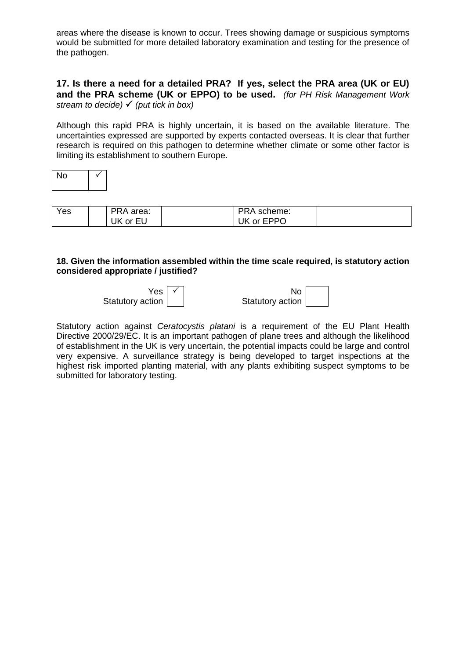areas where the disease is known to occur. Trees showing damage or suspicious symptoms would be submitted for more detailed laboratory examination and testing for the presence of the pathogen.

# **17. Is there a need for a detailed PRA? If yes, select the PRA area (UK or EU) and the PRA scheme (UK or EPPO) to be used.** *(for PH Risk Management Work stream to decide) (put tick in box)*

Although this rapid PRA is highly uncertain, it is based on the available literature. The uncertainties expressed are supported by experts contacted overseas. It is clear that further research is required on this pathogen to determine whether climate or some other factor is limiting its establishment to southern Europe.

| J.<br>г |  |
|---------|--|
|         |  |

| Yes | PRA area: | PRA scheme: |  |
|-----|-----------|-------------|--|
|     | UK or EU  | UK or EPPO  |  |

#### **18. Given the information assembled within the time scale required, is statutory action considered appropriate / justified?**

Yes<sup>1</sup> Statutory action

 $\checkmark$  No Statutory action

Statutory action against *Ceratocystis platani* is a requirement of the EU Plant Health Directive 2000/29/EC. It is an important pathogen of plane trees and although the likelihood of establishment in the UK is very uncertain, the potential impacts could be large and control very expensive. A surveillance strategy is being developed to target inspections at the highest risk imported planting material, with any plants exhibiting suspect symptoms to be submitted for laboratory testing.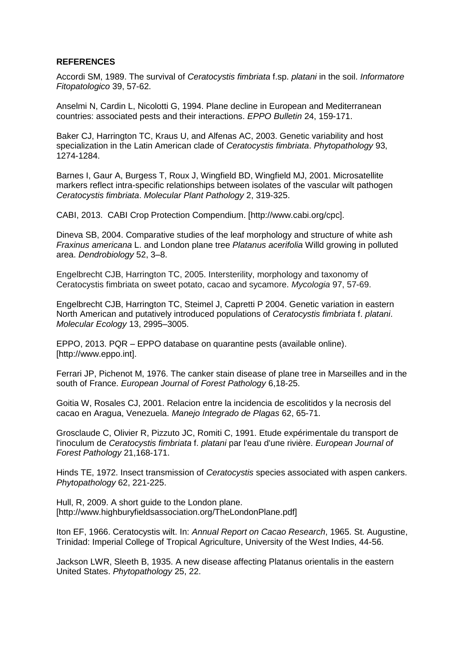#### **REFERENCES**

Accordi SM, 1989. The survival of *Ceratocystis fimbriata* f.sp. *platani* in the soil. *Informatore Fitopatologico* 39, 57-62.

Anselmi N, Cardin L, Nicolotti G, 1994. Plane decline in European and Mediterranean countries: associated pests and their interactions. *EPPO Bulletin* 24, 159-171.

Baker CJ, Harrington TC, Kraus U, and Alfenas AC, 2003. Genetic variability and host specialization in the Latin American clade of *Ceratocystis fimbriata*. *Phytopathology* 93, 1274-1284.

Barnes I, Gaur A, Burgess T, Roux J, Wingfield BD, Wingfield MJ, 2001. Microsatellite markers reflect intra-specific relationships between isolates of the vascular wilt pathogen *Ceratocystis fimbriata*. *Molecular Plant Pathology* 2, 319-325.

CABI, 2013. CABI Crop Protection Compendium. [http://www.cabi.org/cpc].

Dineva SB, 2004. Comparative studies of the leaf morphology and structure of white ash *Fraxinus americana* L. and London plane tree *Platanus acerifolia* Willd growing in polluted area. *Dendrobiology* 52, 3–8.

Engelbrecht CJB, Harrington TC, 2005. Intersterility, morphology and taxonomy of Ceratocystis fimbriata on sweet potato, cacao and sycamore. *Mycologia* 97, 57-69.

Engelbrecht CJB, Harrington TC, Steimel J, Capretti P 2004. Genetic variation in eastern North American and putatively introduced populations of *Ceratocystis fimbriata* f. *platani*. *Molecular Ecology* 13, 2995–3005.

EPPO, 2013. PQR – EPPO database on quarantine pests (available online). [http://www.eppo.int].

Ferrari JP, Pichenot M, 1976. The canker stain disease of plane tree in Marseilles and in the south of France. *European Journal of Forest Pathology* 6,18-25.

Goitia W, Rosales CJ, 2001. Relacion entre la incidencia de escolitidos y la necrosis del cacao en Aragua, Venezuela. *Manejo Integrado de Plagas* 62, 65-71.

Grosclaude C, Olivier R, Pizzuto JC, Romiti C, 1991. Etude expérimentale du transport de l'inoculum de *Ceratocystis fimbriata* f. *platani* par l'eau d'une rivière. *European Journal of Forest Pathology* 21,168-171.

Hinds TE, 1972. Insect transmission of *Ceratocystis* species associated with aspen cankers. *Phytopathology* 62, 221-225.

Hull, R, 2009. A short guide to the London plane. [http://www.highburyfieldsassociation.org/TheLondonPlane.pdf]

Iton EF, 1966. Ceratocystis wilt. In: *Annual Report on Cacao Research*, 1965. St. Augustine, Trinidad: Imperial College of Tropical Agriculture, University of the West Indies, 44-56.

Jackson LWR, Sleeth B, 1935. A new disease affecting Platanus orientalis in the eastern United States. *Phytopathology* 25, 22.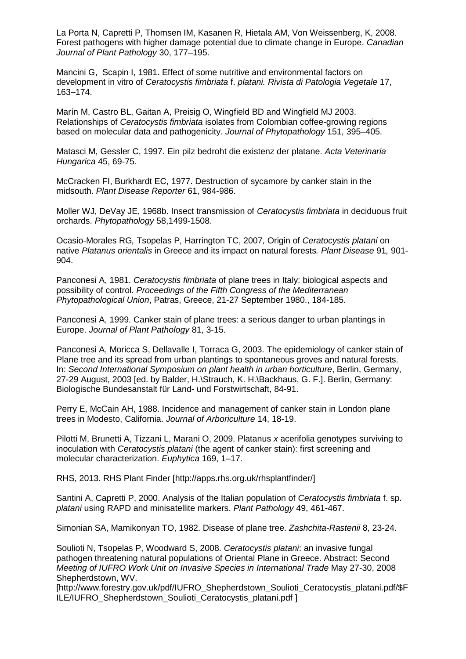La Porta N, Capretti P, Thomsen IM, Kasanen R, Hietala AM, Von Weissenberg, K, 2008. Forest pathogens with higher damage potential due to climate change in Europe. *Canadian Journal of Plant Pathology* 30, 177–195.

Mancini G, Scapin I, 1981. Effect of some nutritive and environmental factors on development in vitro of *Ceratocystis fimbriata* f. *platani. Rivista di Patologia Vegetale* 17, 163–174.

Marín M, Castro BL, Gaitan A, Preisig O, Wingfield BD and Wingfield MJ 2003. Relationships of *Ceratocystis fimbriata* isolates from Colombian coffee-growing regions based on molecular data and pathogenicity. *Journal of Phytopathology* 151, 395–405.

Matasci M, Gessler C, 1997. Ein pilz bedroht die existenz der platane. *Acta Veterinaria Hungarica* 45, 69-75.

McCracken FI, Burkhardt EC, 1977. Destruction of sycamore by canker stain in the midsouth. *Plant Disease Reporter* 61, 984-986.

Moller WJ, DeVay JE, 1968b. Insect transmission of *Ceratocystis fimbriata* in deciduous fruit orchards. *Phytopathology* 58,1499-1508.

Ocasio-Morales RG*,* Tsopelas P*,* Harrington TC, 2007*,* Origin of *Ceratocystis platani* on native *Platanus orientalis* in Greece and its impact on natural forests*. Plant Disease* 91*,* 901- 904.

Panconesi A, 1981. *Ceratocystis fimbriata* of plane trees in Italy: biological aspects and possibility of control. *Proceedings of the Fifth Congress of the Mediterranean Phytopathological Union*, Patras, Greece, 21-27 September 1980., 184-185.

Panconesi A, 1999. Canker stain of plane trees: a serious danger to urban plantings in Europe. *Journal of Plant Pathology* 81, 3-15.

Panconesi A, Moricca S, Dellavalle I, Torraca G, 2003. The epidemiology of canker stain of Plane tree and its spread from urban plantings to spontaneous groves and natural forests. In: *Second International Symposium on plant health in urban horticulture*, Berlin, Germany, 27-29 August, 2003 [ed. by Balder, H.\Strauch, K. H.\Backhaus, G. F.]. Berlin, Germany: Biologische Bundesanstalt für Land- und Forstwirtschaft, 84-91.

Perry E, McCain AH, 1988. Incidence and management of canker stain in London plane trees in Modesto, California. *Journal of Arboriculture* 14, 18-19.

Pilotti M, Brunetti A, Tizzani L, Marani O, 2009. Platanus *x* acerifolia genotypes surviving to inoculation with *Ceratocystis platani* (the agent of canker stain): first screening and molecular characterization. *Euphytica* 169, 1–17.

RHS, 2013. RHS Plant Finder [http://apps.rhs.org.uk/rhsplantfinder/]

Santini A, Capretti P, 2000. Analysis of the Italian population of *Ceratocystis fimbriata* f. sp. *platani* using RAPD and minisatellite markers. *Plant Pathology* 49, 461-467.

Simonian SA, Mamikonyan TO, 1982. Disease of plane tree. *Zashchita-Rastenii* 8, 23-24.

Soulioti N, Tsopelas P, Woodward S, 2008. *Ceratocystis platani*: an invasive fungal pathogen threatening natural populations of Oriental Plane in Greece. Abstract: Second *Meeting of IUFRO Work Unit on Invasive Species in International Trade* May 27-30, 2008 Shepherdstown, WV.

[http://www.forestry.gov.uk/pdf/IUFRO\_Shepherdstown\_Soulioti\_Ceratocystis\_platani.pdf/\$F ILE/IUFRO\_Shepherdstown\_Soulioti\_Ceratocystis\_platani.pdf ]